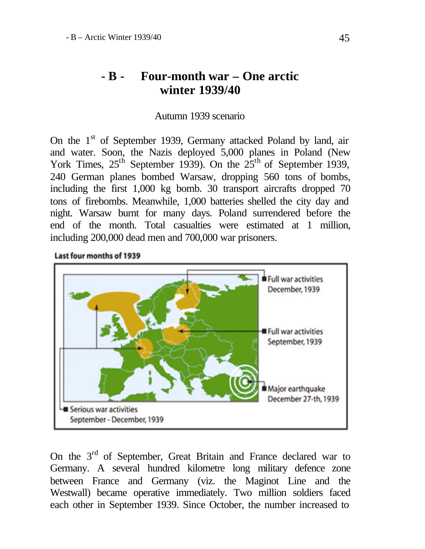## **- B - Four-month war – One arctic winter 1939/40**

## Autumn 1939 scenario

On the 1<sup>st</sup> of September 1939, Germany attacked Poland by land, air and water. Soon, the Nazis deployed 5,000 planes in Poland (New York Times,  $25<sup>th</sup>$  September 1939). On the  $25<sup>th</sup>$  of September 1939, 240 German planes bombed Warsaw, dropping 560 tons of bombs, including the first 1,000 kg bomb. 30 transport aircrafts dropped 70 tons of firebombs. Meanwhile, 1,000 batteries shelled the city day and night. Warsaw burnt for many days. Poland surrendered before the end of the month. Total casualties were estimated at 1 million, including 200,000 dead men and 700,000 war prisoners.

Last four months of 1939



On the 3<sup>rd</sup> of September, Great Britain and France declared war to Germany. A several hundred kilometre long military defence zone between France and Germany (viz. the Maginot Line and the Westwall) became operative immediately. Two million soldiers faced each other in September 1939. Since October, the number increased to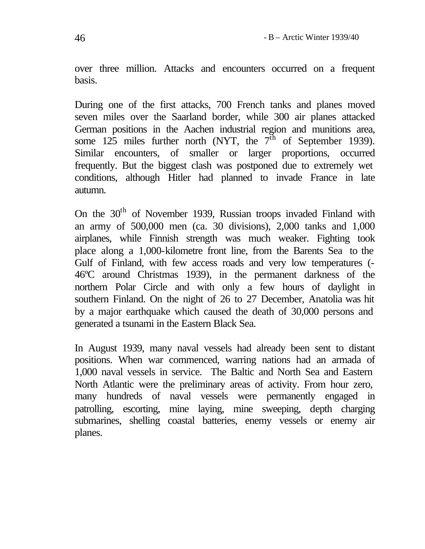over three million. Attacks and encounters occurred on a frequent basis.

During one of the first attacks, 700 French tanks and planes moved seven miles over the Saarland border, while 300 air planes attacked German positions in the Aachen industrial region and munitions area, some 125 miles further north (NYT, the  $7<sup>th</sup>$  of September 1939). Similar encounters, of smaller or larger proportions, occurred frequently. But the biggest clash was postponed due to extremely wet conditions, although Hitler had planned to invade France in late autumn.

On the 30<sup>th</sup> of November 1939, Russian troops invaded Finland with an army of 500,000 men (ca. 30 divisions), 2,000 tanks and 1,000 airplanes, while Finnish strength was much weaker. Fighting took place along a 1,000-kilometre front line, from the Barents Sea to the Gulf of Finland, with few access roads and very low temperatures (- 46ºC around Christmas 1939), in the permanent darkness of the northern Polar Circle and with only a few hours of daylight in southern Finland. On the night of 26 to 27 December, Anatolia was hit by a major earthquake which caused the death of 30,000 persons and generated a tsunami in the Eastern Black Sea.

In August 1939, many naval vessels had already been sent to distant positions. When war commenced, warring nations had an armada of 1,000 naval vessels in service. The Baltic and North Sea and Eastern North Atlantic were the preliminary areas of activity. From hour zero, many hundreds of naval vessels were permanently engaged in patrolling, escorting, mine laying, mine sweeping, depth charging submarines, shelling coastal batteries, enemy vessels or enemy air planes.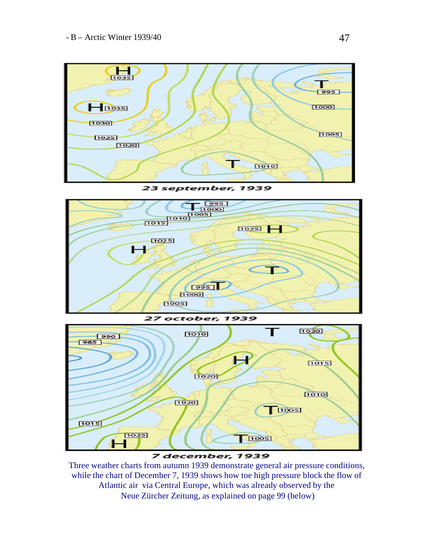

**23 september, 1939** 



7 december, 1939

Three weather charts from autumn 1939 demonstrate general air pressure conditions, while the chart of December 7, 1939 shows how toe high pressure block the flow of Atlantic air via Central Europe, which was already observed by the Neue Zürcher Zeitung, as explained on page 99 (below)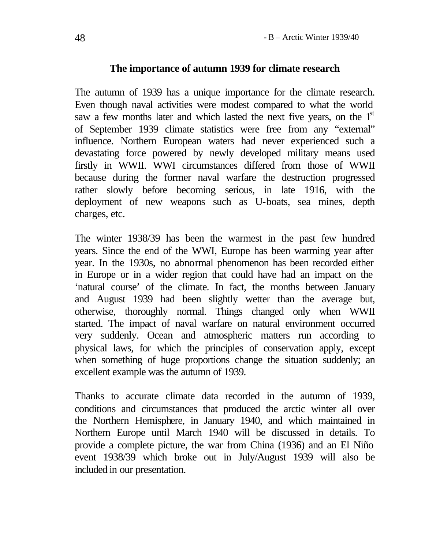## **The importance of autumn 1939 for climate research**

The autumn of 1939 has a unique importance for the climate research. Even though naval activities were modest compared to what the world saw a few months later and which lasted the next five years, on the  $1<sup>st</sup>$ of September 1939 climate statistics were free from any "external" influence. Northern European waters had never experienced such a devastating force powered by newly developed military means used firstly in WWII. WWI circumstances differed from those of WWII because during the former naval warfare the destruction progressed rather slowly before becoming serious, in late 1916, with the deployment of new weapons such as U-boats, sea mines, depth charges, etc.

The winter 1938/39 has been the warmest in the past few hundred years. Since the end of the WWI, Europe has been warming year after year. In the 1930s, no abnormal phenomenon has been recorded either in Europe or in a wider region that could have had an impact on the 'natural course' of the climate. In fact, the months between January and August 1939 had been slightly wetter than the average but, otherwise, thoroughly normal. Things changed only when WWII started. The impact of naval warfare on natural environment occurred very suddenly. Ocean and atmospheric matters run according to physical laws, for which the principles of conservation apply, except when something of huge proportions change the situation suddenly; an excellent example was the autumn of 1939.

Thanks to accurate climate data recorded in the autumn of 1939, conditions and circumstances that produced the arctic winter all over the Northern Hemisphere, in January 1940, and which maintained in Northern Europe until March 1940 will be discussed in details. To provide a complete picture, the war from China (1936) and an El Niño event 1938/39 which broke out in July/August 1939 will also be included in our presentation.